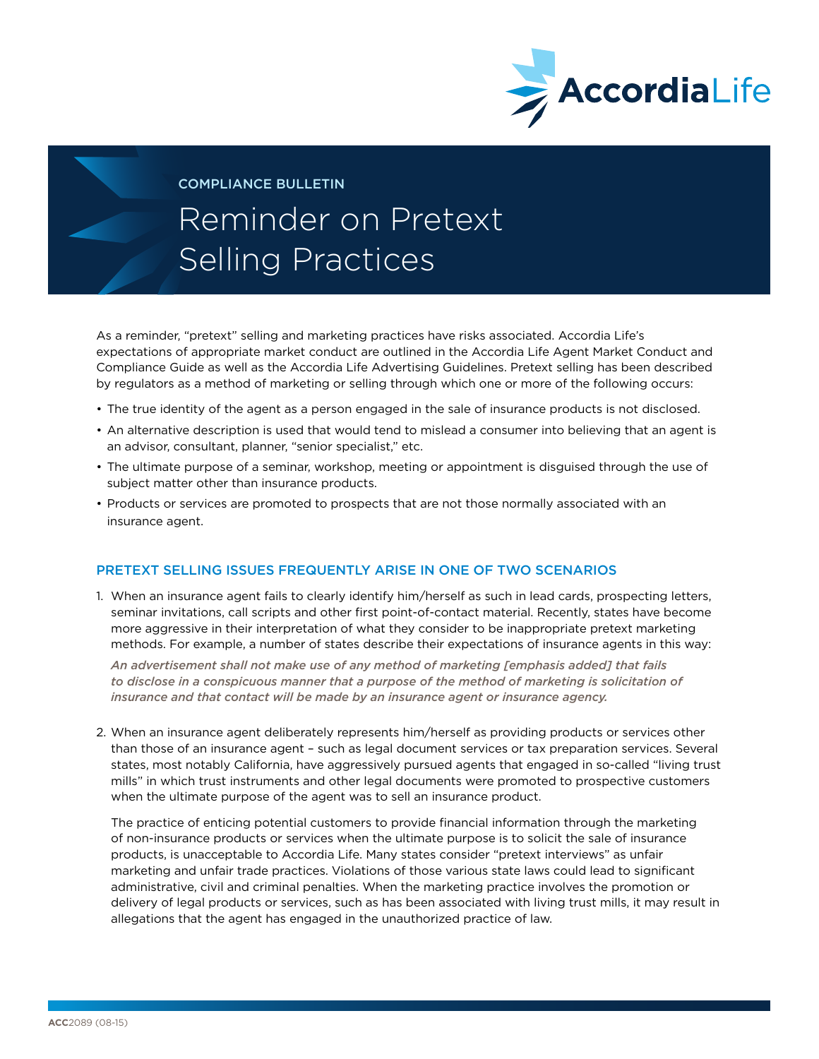

COMPLIANCE BULLETIN

## Reminder on Pretext Selling Practices

As a reminder, "pretext" selling and marketing practices have risks associated. Accordia Life's expectations of appropriate market conduct are outlined in the Accordia Life Agent Market Conduct and Compliance Guide as well as the Accordia Life Advertising Guidelines. Pretext selling has been described by regulators as a method of marketing or selling through which one or more of the following occurs:

- The true identity of the agent as a person engaged in the sale of insurance products is not disclosed.
- An alternative description is used that would tend to mislead a consumer into believing that an agent is an advisor, consultant, planner, "senior specialist," etc.
- The ultimate purpose of a seminar, workshop, meeting or appointment is disguised through the use of subject matter other than insurance products.
- Products or services are promoted to prospects that are not those normally associated with an insurance agent.

## PRETEXT SELLING ISSUES FREQUENTLY ARISE IN ONE OF TWO SCENARIOS

1. When an insurance agent fails to clearly identify him/herself as such in lead cards, prospecting letters, seminar invitations, call scripts and other first point-of-contact material. Recently, states have become more aggressive in their interpretation of what they consider to be inappropriate pretext marketing methods. For example, a number of states describe their expectations of insurance agents in this way:

*An advertisement shall not make use of any method of marketing [emphasis added] that fails*  to disclose in a conspicuous manner that a purpose of the method of marketing is solicitation of *insurance and that contact will be made by an insurance agent or insurance agency.* 

2. When an insurance agent deliberately represents him/herself as providing products or services other than those of an insurance agent – such as legal document services or tax preparation services. Several states, most notably California, have aggressively pursued agents that engaged in so-called "living trust mills" in which trust instruments and other legal documents were promoted to prospective customers when the ultimate purpose of the agent was to sell an insurance product.

The practice of enticing potential customers to provide financial information through the marketing of non-insurance products or services when the ultimate purpose is to solicit the sale of insurance products, is unacceptable to Accordia Life. Many states consider "pretext interviews" as unfair marketing and unfair trade practices. Violations of those various state laws could lead to significant administrative, civil and criminal penalties. When the marketing practice involves the promotion or delivery of legal products or services, such as has been associated with living trust mills, it may result in allegations that the agent has engaged in the unauthorized practice of law.